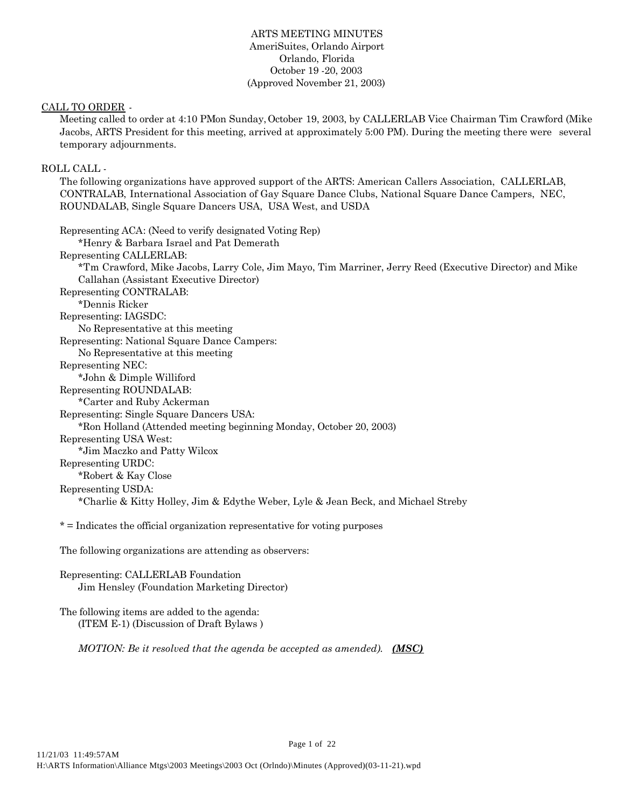# ARTS MEETING MINUTES AmeriSuites, Orlando Airport Orlando, Florida October 19 -20, 2003 (Approved November 21, 2003)

## CALL TO ORDER -

Meeting called to order at 4:10 PM on Sunday, October 19, 2003, by CALLERLAB Vice Chairman Tim Crawford (Mike Jacobs, ARTS President for this meeting, arrived at approximately 5:00 PM). During the meeting there were several temporary adjournments.

# ROLL CALL -

The following organizations have approved support of the ARTS: American Callers Association, CALLERLAB, CONTRALAB, International Association of Gay Square Dance Clubs, National Square Dance Campers, NEC, ROUNDALAB, Single Square Dancers USA, USA West, and USDA

Representing ACA: (Need to verify designated Voting Rep) \*Henry & Barbara Israel and Pat Demerath Representing CALLERLAB: \*Tm Crawford, Mike Jacobs, Larry Cole, Jim Mayo, Tim Marriner, Jerry Reed (Executive Director) and Mike Callahan (Assistant Executive Director) Representing CONTRALAB: \*Dennis Ricker Representing: IAGSDC: No Representative at this meeting Representing: National Square Dance Campers: No Representative at this meeting Representing NEC: \*John & Dimple Williford Representing ROUNDALAB: \*Carter and Ruby Ackerman Representing: Single Square Dancers USA: \*Ron Holland (Attended meeting beginning Monday, October 20, 2003) Representing USA West: \*Jim Maczko and Patty Wilcox Representing URDC: \*Robert & Kay Close Representing USDA: \*Charlie & Kitty Holley, Jim & Edythe Weber, Lyle & Jean Beck, and Michael Streby

\* = Indicates the official organization representative for voting purposes

The following organizations are attending as observers:

Representing: CALLERLAB Foundation Jim Hensley (Foundation Marketing Director)

The following items are added to the agenda: (ITEM E-1) (Discussion of Draft Bylaws )

*MOTION: Be it resolved that the agenda be accepted as amended). (MSC)*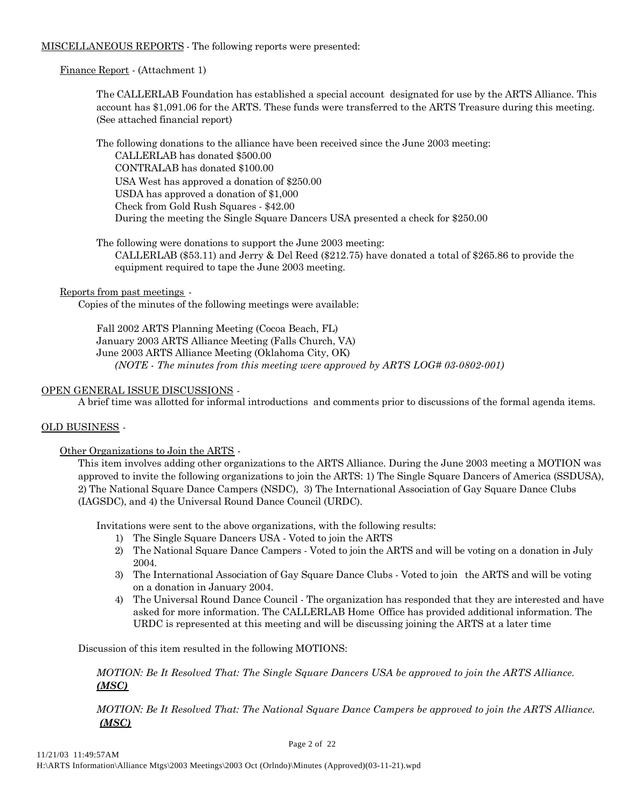# MISCELLANEOUS REPORTS - The following reports were presented:

## Finance Report - (Attachment 1)

The CALLERLAB Foundation has established a special account designated for use by the ARTS Alliance. This account has \$1,091.06 for the ARTS. These funds were transferred to the ARTS Treasure during this meeting. (See attached financial report)

The following donations to the alliance have been received since the June 2003 meeting:

CALLERLAB has donated \$500.00 CONTRALAB has donated \$100.00 USA West has approved a donation of \$250.00 USDA has approved a donation of \$1,000 Check from Gold Rush Squares - \$42.00 During the meeting the Single Square Dancers USA presented a check for \$250.00

The following were donations to support the June 2003 meeting:

CALLERLAB (\$53.11) and Jerry & Del Reed (\$212.75) have donated a total of \$265.86 to provide the equipment required to tape the June 2003 meeting.

Reports from past meetings -

Copies of the minutes of the following meetings were available:

Fall 2002 ARTS Planning Meeting (Cocoa Beach, FL) January 2003 ARTS Alliance Meeting (Falls Church, VA) June 2003 ARTS Alliance Meeting (Oklahoma City, OK) *(NOTE - The minutes from this meeting were approved by ARTS LOG# 03-0802-001)*

## OPEN GENERAL ISSUE DISCUSSIONS -

A brief time was allotted for informal introductions and comments prior to discussions of the formal agenda items.

## OLD BUSINESS -

Other Organizations to Join the ARTS -

This item involves adding other organizations to the ARTS Alliance. During the June 2003 meeting a MOTION was approved to invite the following organizations to join the ARTS: 1) The Single Square Dancers of America (SSDUSA), 2) The National Square Dance Campers (NSDC), 3) The International Association of Gay Square Dance Clubs (IAGSDC), and 4) the Universal Round Dance Council (URDC).

Invitations were sent to the above organizations, with the following results:

- 1) The Single Square Dancers USA Voted to join the ARTS
- 2) The National Square Dance Campers Voted to join the ARTS and will be voting on a donation in July 2004.
- 3) The International Association of Gay Square Dance Clubs Voted to join the ARTS and will be voting on a donation in January 2004.
- 4) The Universal Round Dance Council The organization has responded that they are interested and have asked for more information. The CALLERLAB Home Office has provided additional information. The URDC is represented at this meeting and will be discussing joining the ARTS at a later time

Discussion of this item resulted in the following MOTIONS:

*MOTION: Be It Resolved That: The Single Square Dancers USA be approved to join the ARTS Alliance. (MSC)*

*MOTION: Be It Resolved That: The National Square Dance Campers be approved to join the ARTS Alliance. (MSC)*

Page 2 of 22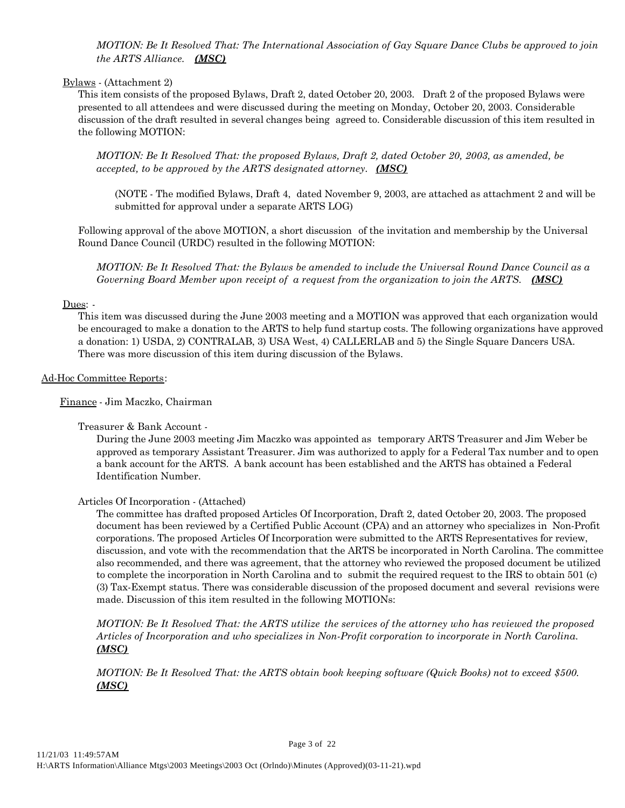*MOTION: Be It Resolved That: The International Association of Gay Square Dance Clubs be approved to join the ARTS Alliance. (MSC)*

#### Bylaws - (Attachment 2)

This item consists of the proposed Bylaws, Draft 2, dated October 20, 2003. Draft 2 of the proposed Bylaws were presented to all attendees and were discussed during the meeting on Monday, October 20, 2003. Considerable discussion of the draft resulted in several changes being agreed to. Considerable discussion of this item resulted in the following MOTION:

*MOTION: Be It Resolved That: the proposed Bylaws, Draft 2, dated October 20, 2003, as amended, be accepted, to be approved by the ARTS designated attorney. (MSC)*

(NOTE - The modified Bylaws, Draft 4, dated November 9, 2003, are attached as attachment 2 and will be submitted for approval under a separate ARTS LOG)

Following approval of the above MOTION, a short discussion of the invitation and membership by the Universal Round Dance Council (URDC) resulted in the following MOTION:

*MOTION: Be It Resolved That: the Bylaws be amended to include the Universal Round Dance Council as a Governing Board Member upon receipt of a request from the organization to join the ARTS. (MSC)*

### Dues: -

This item was discussed during the June 2003 meeting and a MOTION was approved that each organization would be encouraged to make a donation to the ARTS to help fund startup costs. The following organizations have approved a donation: 1) USDA, 2) CONTRALAB, 3) USA West, 4) CALLERLAB and 5) the Single Square Dancers USA. There was more discussion of this item during discussion of the Bylaws.

### Ad-Hoc Committee Reports:

Finance - Jim Maczko, Chairman

## Treasurer & Bank Account -

During the June 2003 meeting Jim Maczko was appointed as temporary ARTS Treasurer and Jim Weber be approved as temporary Assistant Treasurer. Jim was authorized to apply for a Federal Tax number and to open a bank account for the ARTS. A bank account has been established and the ARTS has obtained a Federal Identification Number.

## Articles Of Incorporation - (Attached)

The committee has drafted proposed Articles Of Incorporation, Draft 2, dated October 20, 2003. The proposed document has been reviewed by a Certified Public Account (CPA) and an attorney who specializes in Non-Profit corporations. The proposed Articles Of Incorporation were submitted to the ARTS Representatives for review, discussion, and vote with the recommendation that the ARTS be incorporated in North Carolina. The committee also recommended, and there was agreement, that the attorney who reviewed the proposed document be utilized to complete the incorporation in North Carolina and to submit the required request to the IRS to obtain 501 (c) (3) Tax-Exempt status. There was considerable discussion of the proposed document and several revisions were made. Discussion of this item resulted in the following MOTIONs:

*MOTION: Be It Resolved That: the ARTS utilize the services of the attorney who has reviewed the proposed Articles of Incorporation and who specializes in Non-Profit corporation to incorporate in North Carolina. (MSC)*

*MOTION: Be It Resolved That: the ARTS obtain book keeping software (Quick Books) not to exceed \$500. (MSC)*

Page 3 of 22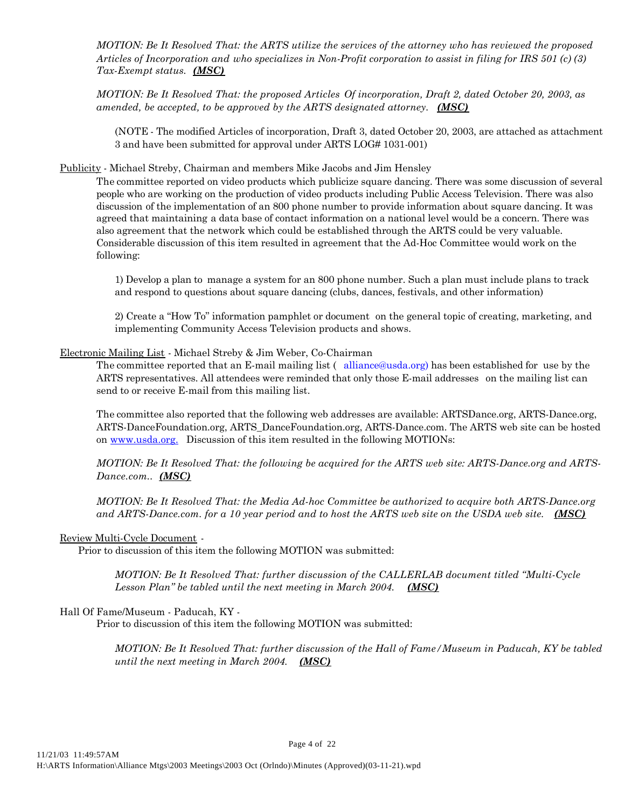*MOTION: Be It Resolved That: the ARTS utilize the services of the attorney who has reviewed the proposed Articles of Incorporation and who specializes in Non-Profit corporation to assist in filing for IRS 501 (c) (3) Tax-Exempt status. (MSC)*

*MOTION: Be It Resolved That: the proposed Articles Of incorporation, Draft 2, dated October 20, 2003, as amended, be accepted, to be approved by the ARTS designated attorney. (MSC)*

(NOTE - The modified Articles of incorporation, Draft 3, dated October 20, 2003, are attached as attachment 3 and have been submitted for approval under ARTS LOG# 1031-001)

Publicity - Michael Streby, Chairman and members Mike Jacobs and Jim Hensley

The committee reported on video products which publicize square dancing. There was some discussion of several people who are working on the production of video products including Public Access Television. There was also discussion of the implementation of an 800 phone number to provide information about square dancing. It was agreed that maintaining a data base of contact information on a national level would be a concern. There was also agreement that the network which could be established through the ARTS could be very valuable. Considerable discussion of this item resulted in agreement that the Ad-Hoc Committee would work on the following:

1) Develop a plan to manage a system for an 800 phone number. Such a plan must include plans to track and respond to questions about square dancing (clubs, dances, festivals, and other information)

2) Create a "How To" information pamphlet or document on the general topic of creating, marketing, and implementing Community Access Television products and shows.

### Electronic Mailing List - Michael Streby & Jim Weber, Co-Chairman

The committee reported that an E-mail mailing list ( alliance@usda.org) has been established for use by the ARTS representatives. All attendees were reminded that only those E-mail addresses on the mailing list can send to or receive E-mail from this mailing list.

The committee also reported that the following web addresses are available: ARTSDance.org, ARTS-Dance.org, ARTS-DanceFoundation.org, ARTS\_DanceFoundation.org, ARTS-Dance.com. The ARTS web site can be hosted on www.usda.org. Discussion of this item resulted in the following MOTIONs:

*MOTION: Be It Resolved That: the following be acquired for the ARTS web site: ARTS-Dance.org and ARTS-Dance.com.. (MSC)*

*MOTION: Be It Resolved That: the Media Ad-hoc Committee be authorized to acquire both ARTS-Dance.org and ARTS-Dance.com. for a 10 year period and to host the ARTS web site on the USDA web site. (MSC)*

#### Review Multi-Cycle Document -

Prior to discussion of this item the following MOTION was submitted:

*MOTION: Be It Resolved That: further discussion of the CALLERLAB document titled "Multi-Cycle Lesson Plan" be tabled until the next meeting in March 2004. (MSC)*

# Hall Of Fame/Museum - Paducah, KY -

Prior to discussion of this item the following MOTION was submitted:

*MOTION: Be It Resolved That: further discussion of the Hall of Fame/Museum in Paducah, KY be tabled until the next meeting in March 2004. (MSC)*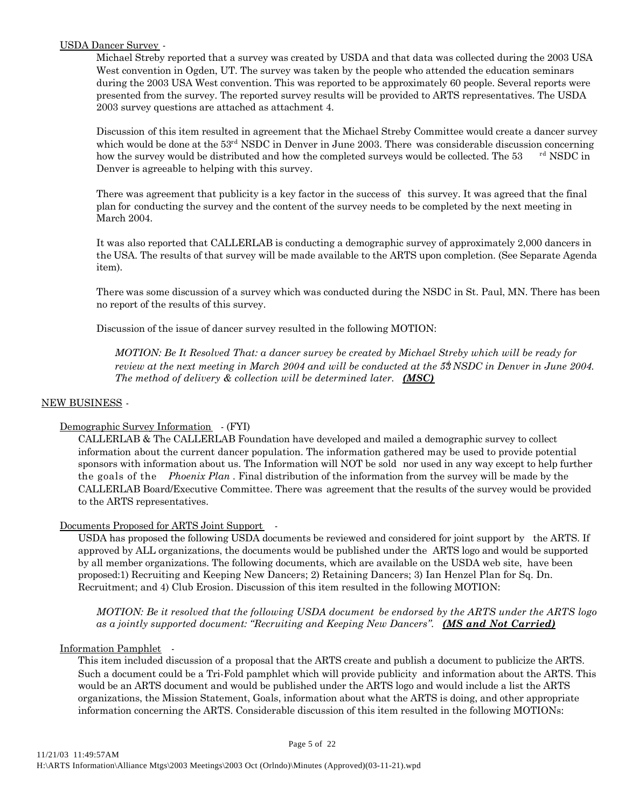## USDA Dancer Survey -

Michael Streby reported that a survey was created by USDA and that data was collected during the 2003 USA West convention in Ogden, UT. The survey was taken by the people who attended the education seminars during the 2003 USA West convention. This was reported to be approximately 60 people. Several reports were presented from the survey. The reported survey results will be provided to ARTS representatives. The USDA 2003 survey questions are attached as attachment 4.

Discussion of this item resulted in agreement that the Michael Streby Committee would create a dancer survey which would be done at the  $53<sup>rd</sup>$  NSDC in Denver in June 2003. There was considerable discussion concerning how the survey would be distributed and how the completed surveys would be collected. The 53 rd NSDC in Denver is agreeable to helping with this survey.

There was agreement that publicity is a key factor in the success of this survey. It was agreed that the final plan for conducting the survey and the content of the survey needs to be completed by the next meeting in March 2004.

It was also reported that CALLERLAB is conducting a demographic survey of approximately 2,000 dancers in the USA. The results of that survey will be made available to the ARTS upon completion. (See Separate Agenda item).

There was some discussion of a survey which was conducted during the NSDC in St. Paul, MN. There has been no report of the results of this survey.

Discussion of the issue of dancer survey resulted in the following MOTION:

*MOTION: Be It Resolved That: a dancer survey be created by Michael Streby which will be ready for review at the next meeting in March 2004 and will be conducted at the 53NSDC in Denver in June 2004. The method of delivery & collection will be determined later. (MSC)*

#### NEW BUSINESS -

## Demographic Survey Information - (FYI)

CALLERLAB & The CALLERLAB Foundation have developed and mailed a demographic survey to collect information about the current dancer population. The information gathered may be used to provide potential sponsors with information about us. The Information will NOT be sold nor used in any way except to help further the goals of the *Phoenix Plan* . Final distribution of the information from the survey will be made by the CALLERLAB Board/Executive Committee. There was agreement that the results of the survey would be provided to the ARTS representatives.

## Documents Proposed for ARTS Joint Support -

USDA has proposed the following USDA documents be reviewed and considered for joint support by the ARTS. If approved by ALL organizations, the documents would be published under the ARTS logo and would be supported by all member organizations. The following documents, which are available on the USDA web site, have been proposed:1) Recruiting and Keeping New Dancers; 2) Retaining Dancers; 3) Ian Henzel Plan for Sq. Dn. Recruitment; and 4) Club Erosion. Discussion of this item resulted in the following MOTION:

*MOTION: Be it resolved that the following USDA document be endorsed by the ARTS under the ARTS logo as a jointly supported document: "Recruiting and Keeping New Dancers". (MS and Not Carried)*

## Information Pamphlet -

This item included discussion of a proposal that the ARTS create and publish a document to publicize the ARTS. Such a document could be a Tri-Fold pamphlet which will provide publicity and information about the ARTS. This would be an ARTS document and would be published under the ARTS logo and would include a list the ARTS organizations, the Mission Statement, Goals, information about what the ARTS is doing, and other appropriate information concerning the ARTS. Considerable discussion of this item resulted in the following MOTIONs: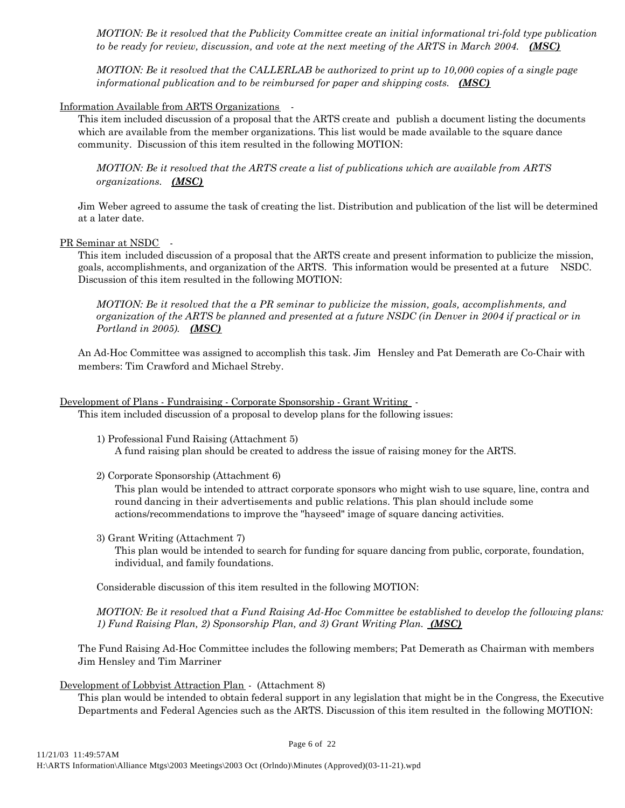*MOTION: Be it resolved that the Publicity Committee create an initial informational tri-fold type publication to be ready for review, discussion, and vote at the next meeting of the ARTS in March 2004. (MSC)*

*MOTION: Be it resolved that the CALLERLAB be authorized to print up to 10,000 copies of a single page informational publication and to be reimbursed for paper and shipping costs. (MSC)*

### Information Available from ARTS Organizations -

This item included discussion of a proposal that the ARTS create and publish a document listing the documents which are available from the member organizations. This list would be made available to the square dance community. Discussion of this item resulted in the following MOTION:

*MOTION: Be it resolved that the ARTS create a list of publications which are available from ARTS organizations. (MSC)*

Jim Weber agreed to assume the task of creating the list. Distribution and publication of the list will be determined at a later date.

#### PR Seminar at NSDC -

This item included discussion of a proposal that the ARTS create and present information to publicize the mission, goals, accomplishments, and organization of the ARTS. This information would be presented at a future NSDC. Discussion of this item resulted in the following MOTION:

*MOTION: Be it resolved that the a PR seminar to publicize the mission, goals, accomplishments, and organization of the ARTS be planned and presented at a future NSDC (in Denver in 2004 if practical or in Portland in 2005). (MSC)*

An Ad-Hoc Committee was assigned to accomplish this task. Jim Hensley and Pat Demerath are Co-Chair with members: Tim Crawford and Michael Streby.

### Development of Plans - Fundraising - Corporate Sponsorship - Grant Writing -

This item included discussion of a proposal to develop plans for the following issues:

1) Professional Fund Raising (Attachment 5) A fund raising plan should be created to address the issue of raising money for the ARTS.

2) Corporate Sponsorship (Attachment 6)

This plan would be intended to attract corporate sponsors who might wish to use square, line, contra and round dancing in their advertisements and public relations. This plan should include some actions/recommendations to improve the "hayseed" image of square dancing activities.

#### 3) Grant Writing (Attachment 7)

This plan would be intended to search for funding for square dancing from public, corporate, foundation, individual, and family foundations.

Considerable discussion of this item resulted in the following MOTION:

*MOTION: Be it resolved that a Fund Raising Ad-Hoc Committee be established to develop the following plans: 1) Fund Raising Plan, 2) Sponsorship Plan, and 3) Grant Writing Plan. (MSC)*

The Fund Raising Ad-Hoc Committee includes the following members; Pat Demerath as Chairman with members Jim Hensley and Tim Marriner

#### Development of Lobbyist Attraction Plan - (Attachment 8)

This plan would be intended to obtain federal support in any legislation that might be in the Congress, the Executive Departments and Federal Agencies such as the ARTS. Discussion of this item resulted in the following MOTION:

Page 6 of 22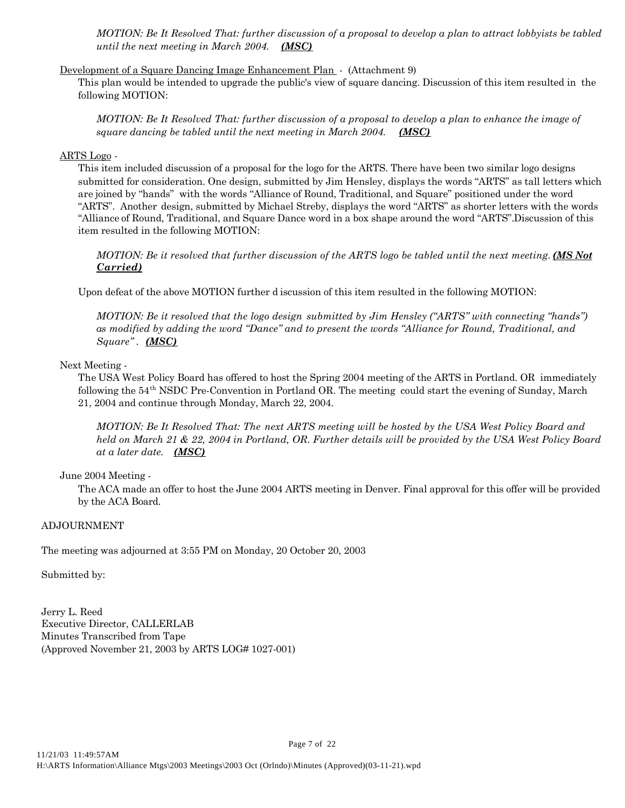*MOTION: Be It Resolved That: further discussion of a proposal to develop a plan to attract lobbyists be tabled until the next meeting in March 2004. (MSC)*

# Development of a Square Dancing Image Enhancement Plan - (Attachment 9)

This plan would be intended to upgrade the public's view of square dancing. Discussion of this item resulted in the following MOTION:

*MOTION: Be It Resolved That: further discussion of a proposal to develop a plan to enhance the image of square dancing be tabled until the next meeting in March 2004. (MSC)*

### ARTS Logo -

This item included discussion of a proposal for the logo for the ARTS. There have been two similar logo designs submitted for consideration. One design, submitted by Jim Hensley, displays the words "ARTS" as tall letters which are joined by "hands" with the words "Alliance of Round, Traditional, and Square" positioned under the word "ARTS". Another design, submitted by Michael Streby, displays the word "ARTS" as shorter letters with the words "Alliance of Round, Traditional, and Square Dance word in a box shape around the word "ARTS". Discussion of this item resulted in the following MOTION:

*MOTION: Be it resolved that further discussion of the ARTS logo be tabled until the next meeting. (MS Not Carried)*

Upon defeat of the above MOTION further d iscussion of this item resulted in the following MOTION:

*MOTION: Be it resolved that the logo design submitted by Jim Hensley ("ARTS" with connecting "hands") as modified by adding the word "Dance" and to present the words "Alliance for Round, Traditional, and Square" . (MSC)*

### Next Meeting -

The USA West Policy Board has offered to host the Spring 2004 meeting of the ARTS in Portland. OR immediately following the 54th NSDC Pre-Convention in Portland OR. The meeting could start the evening of Sunday, March 21, 2004 and continue through Monday, March 22, 2004.

*MOTION: Be It Resolved That: The next ARTS meeting will be hosted by the USA West Policy Board and held on March 21 & 22, 2004 in Portland, OR. Further details will be provided by the USA West Policy Board at a later date. (MSC)*

## June 2004 Meeting -

The ACA made an offer to host the June 2004 ARTS meeting in Denver. Final approval for this offer will be provided by the ACA Board.

Page 7 of 22

#### ADJOURNMENT

The meeting was adjourned at 3:55 PM on Monday, 20 October 20, 2003

Submitted by:

Jerry L. Reed Executive Director, CALLERLAB Minutes Transcribed from Tape (Approved November 21, 2003 by ARTS LOG# 1027-001)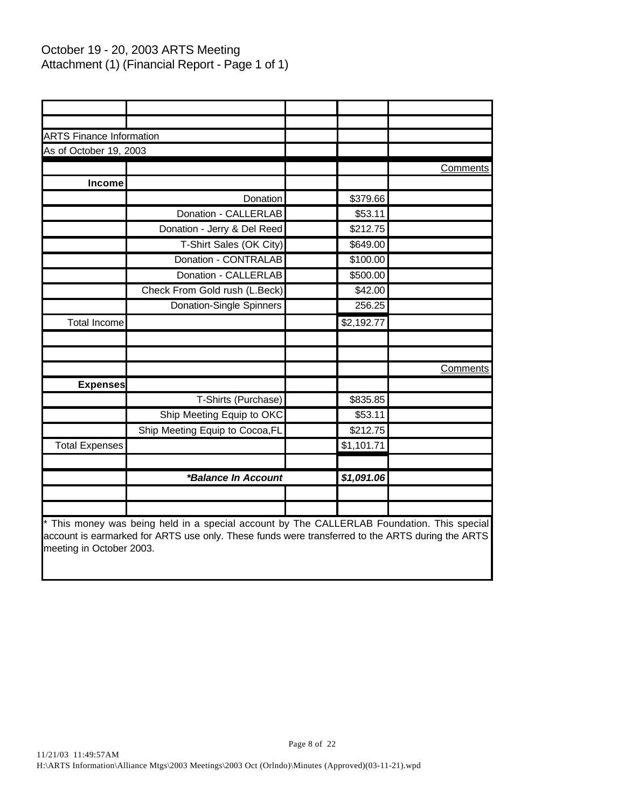# October 19 - 20, 2003 ARTS Meeting Attachment (1) (Financial Report - Page 1 of 1)

| <b>ARTS Finance Information</b> |                                 |                         |          |
|---------------------------------|---------------------------------|-------------------------|----------|
| As of October 19, 2003          |                                 |                         |          |
|                                 |                                 |                         | Comments |
| Income                          |                                 |                         |          |
|                                 | Donation                        | \$379.66                |          |
|                                 | Donation - CALLERLAB            | \$53.11                 |          |
|                                 | Donation - Jerry & Del Reed     | \$212.75                |          |
|                                 | T-Shirt Sales (OK City)         | \$649.00                |          |
|                                 | Donation - CONTRALAB            | \$100.00                |          |
|                                 | Donation - CALLERLAB            | \$500.00                |          |
|                                 | Check From Gold rush (L.Beck)   | \$42.00                 |          |
|                                 | <b>Donation-Single Spinners</b> | 256.25                  |          |
| <b>Total Income</b>             |                                 | \$2,192.77              |          |
|                                 |                                 |                         |          |
|                                 |                                 |                         |          |
|                                 |                                 |                         | Comments |
| <b>Expenses</b>                 |                                 |                         |          |
|                                 | T-Shirts (Purchase)             | \$835.85                |          |
|                                 | Ship Meeting Equip to OKC       | \$53.11                 |          |
|                                 | Ship Meeting Equip to Cocoa, FL | \$212.75                |          |
| <b>Total Expenses</b>           |                                 | $\overline{\$1,101.71}$ |          |
|                                 |                                 |                         |          |
|                                 | *Balance In Account             | \$1,091.06              |          |
|                                 |                                 |                         |          |
|                                 |                                 |                         |          |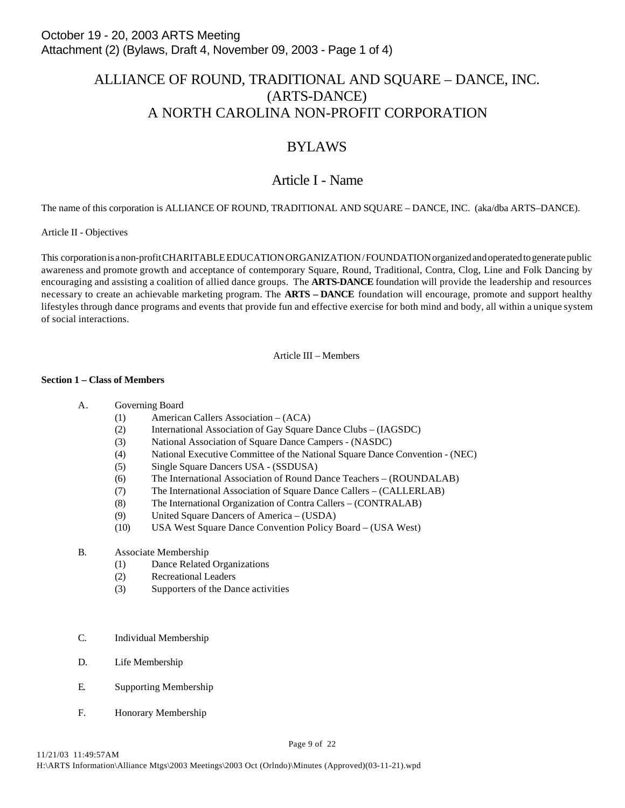# ALLIANCE OF ROUND, TRADITIONAL AND SQUARE – DANCE, INC. (ARTS-DANCE) A NORTH CAROLINA NON-PROFIT CORPORATION

# BYLAWS

# Article I - Name

The name of this corporation is ALLIANCE OF ROUND, TRADITIONAL AND SQUARE – DANCE, INC. (aka/dba ARTS–DANCE).

## Article II - Objectives

This corporation is a non-profit CHARITABLE EDUCATION ORGANIZATION / FOUNDATION organized and operated to generate public awareness and promote growth and acceptance of contemporary Square, Round, Traditional, Contra, Clog, Line and Folk Dancing by encouraging and assisting a coalition of allied dance groups. The **ARTS-DANCE** foundation will provide the leadership and resources necessary to create an achievable marketing program. The **ARTS – DANCE** foundation will encourage, promote and support healthy lifestyles through dance programs and events that provide fun and effective exercise for both mind and body, all within a unique system of social interactions.

Article III – Members

### **Section 1 – Class of Members**

## A. Governing Board

- (1) American Callers Association (ACA)
- (2) International Association of Gay Square Dance Clubs (IAGSDC)
- (3) National Association of Square Dance Campers (NASDC)
- (4) National Executive Committee of the National Square Dance Convention (NEC)
- (5) Single Square Dancers USA (SSDUSA)
- (6) The International Association of Round Dance Teachers (ROUNDALAB)
- (7) The International Association of Square Dance Callers (CALLERLAB)
- (8) The International Organization of Contra Callers (CONTRALAB)
- (9) United Square Dancers of America (USDA)
- (10) USA West Square Dance Convention Policy Board (USA West)

## B. Associate Membership

- (1) Dance Related Organizations
- (2) Recreational Leaders
- (3) Supporters of the Dance activities
- C. Individual Membership
- D. Life Membership
- E. Supporting Membership
- F. Honorary Membership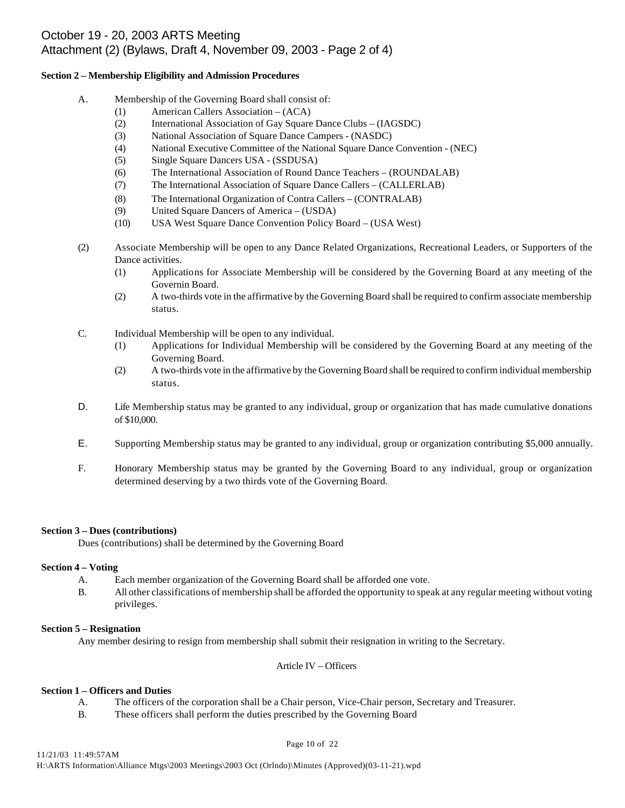# October 19 - 20, 2003 ARTS Meeting Attachment (2) (Bylaws, Draft 4, November 09, 2003 - Page 2 of 4)

### **Section 2 – Membership Eligibility and Admission Procedures**

- A. Membership of the Governing Board shall consist of:
	- (1) American Callers Association (ACA)
	- (2) International Association of Gay Square Dance Clubs (IAGSDC)
	- (3) National Association of Square Dance Campers (NASDC)
	- (4) National Executive Committee of the National Square Dance Convention (NEC)
	- (5) Single Square Dancers USA (SSDUSA)
	- (6) The International Association of Round Dance Teachers (ROUNDALAB)
	- (7) The International Association of Square Dance Callers (CALLERLAB)
	- (8) The International Organization of Contra Callers (CONTRALAB)
	- (9) United Square Dancers of America (USDA)
	- (10) USA West Square Dance Convention Policy Board (USA West)
- (2) Associate Membership will be open to any Dance Related Organizations, Recreational Leaders, or Supporters of the Dance activities.
	- (1) Applications for Associate Membership will be considered by the Governing Board at any meeting of the Governin Board.
	- (2) A two-thirds vote in the affirmative by the Governing Board shall be required to confirm associate membership status.
- C. Individual Membership will be open to any individual.
	- (1) Applications for Individual Membership will be considered by the Governing Board at any meeting of the Governing Board.
	- (2) A two-thirds vote in the affirmative by the Governing Board shall be required to confirm individual membership status.
- D. Life Membership status may be granted to any individual, group or organization that has made cumulative donations of \$10,000.
- E. Supporting Membership status may be granted to any individual, group or organization contributing \$5,000 annually.
- F. Honorary Membership status may be granted by the Governing Board to any individual, group or organization determined deserving by a two thirds vote of the Governing Board.

## **Section 3 – Dues (contributions)**

Dues (contributions) shall be determined by the Governing Board

# **Section 4 – Voting**

- A. Each member organization of the Governing Board shall be afforded one vote.
- B. All other classifications of membership shall be afforded the opportunity to speak at any regular meeting without voting privileges.

## **Section 5 – Resignation**

Any member desiring to resign from membership shall submit their resignation in writing to the Secretary.

## Article IV – Officers

## **Section 1 – Officers and Duties**

- A. The officers of the corporation shall be a Chair person, Vice-Chair person, Secretary and Treasurer.
- B. These officers shall perform the duties prescribed by the Governing Board

#### Page 10 of 22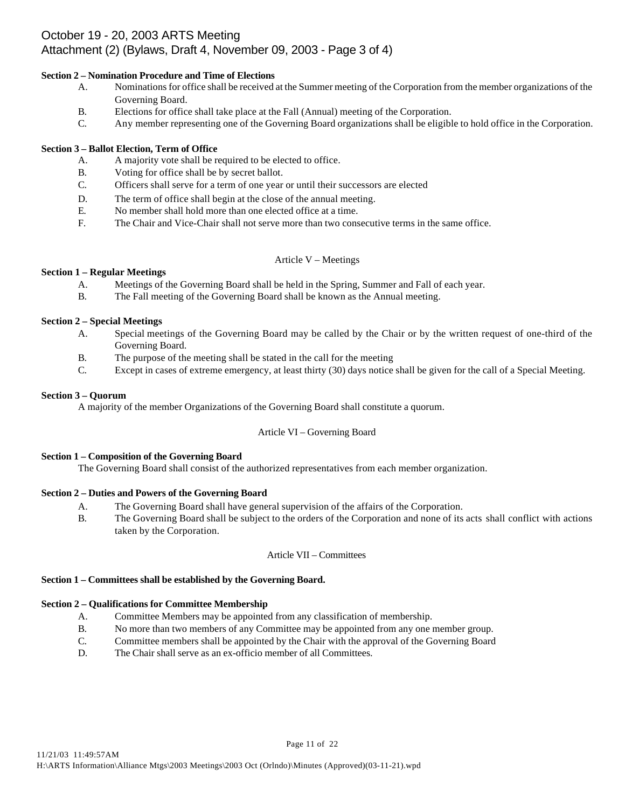# October 19 - 20, 2003 ARTS Meeting Attachment (2) (Bylaws, Draft 4, November 09, 2003 - Page 3 of 4)

## **Section 2 – Nomination Procedure and Time of Elections**

- A. Nominations for office shall be received at the Summer meeting of the Corporation from the member organizations of the Governing Board.
- B. Elections for office shall take place at the Fall (Annual) meeting of the Corporation.
- C. Any member representing one of the Governing Board organizations shall be eligible to hold office in the Corporation.

# **Section 3 – Ballot Election, Term of Office**

- A. A majority vote shall be required to be elected to office.
- B. Voting for office shall be by secret ballot.
- C. Officers shall serve for a term of one year or until their successors are elected
- D. The term of office shall begin at the close of the annual meeting.
- E. No member shall hold more than one elected office at a time.
- F. The Chair and Vice-Chair shall not serve more than two consecutive terms in the same office.

## Article V – Meetings

# **Section 1 – Regular Meetings**

- A. Meetings of the Governing Board shall be held in the Spring, Summer and Fall of each year.
- B. The Fall meeting of the Governing Board shall be known as the Annual meeting.

# **Section 2 – Special Meetings**

- A. Special meetings of the Governing Board may be called by the Chair or by the written request of one-third of the Governing Board.
- B. The purpose of the meeting shall be stated in the call for the meeting
- C. Except in cases of extreme emergency, at least thirty (30) days notice shall be given for the call of a Special Meeting.

# **Section 3 – Quorum**

A majority of the member Organizations of the Governing Board shall constitute a quorum.

# Article VI – Governing Board

# **Section 1 – Composition of the Governing Board**

The Governing Board shall consist of the authorized representatives from each member organization.

# **Section 2 – Duties and Powers of the Governing Board**

- A. The Governing Board shall have general supervision of the affairs of the Corporation.
- B. The Governing Board shall be subject to the orders of the Corporation and none of its acts shall conflict with actions taken by the Corporation.

## Article VII – Committees

## **Section 1 – Committees shall be established by the Governing Board.**

## **Section 2 – Qualifications for Committee Membership**

- A. Committee Members may be appointed from any classification of membership.
- B. No more than two members of any Committee may be appointed from any one member group.
- C. Committee members shall be appointed by the Chair with the approval of the Governing Board
- D. The Chair shall serve as an ex-officio member of all Committees.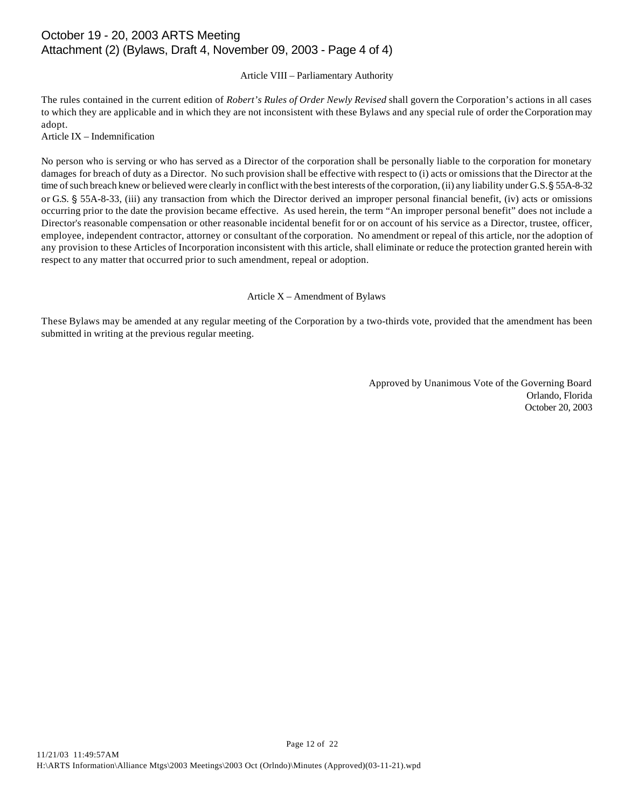# October 19 - 20, 2003 ARTS Meeting Attachment (2) (Bylaws, Draft 4, November 09, 2003 - Page 4 of 4)

## Article VIII – Parliamentary Authority

The rules contained in the current edition of *Robert's Rules of Order Newly Revised* shall govern the Corporation's actions in all cases to which they are applicable and in which they are not inconsistent with these Bylaws and any special rule of order the Corporation may adopt.

Article IX – Indemnification

No person who is serving or who has served as a Director of the corporation shall be personally liable to the corporation for monetary damages for breach of duty as a Director. No such provision shall be effective with respect to (i) acts or omissions that the Director at the time of such breach knew or believed were clearly in conflict with the best interests of the corporation, (ii) any liability under G.S. § 55A-8-32 or G.S. § 55A-8-33, (iii) any transaction from which the Director derived an improper personal financial benefit, (iv) acts or omissions occurring prior to the date the provision became effective. As used herein, the term "An improper personal benefit" does not include a Director's reasonable compensation or other reasonable incidental benefit for or on account of his service as a Director, trustee, officer, employee, independent contractor, attorney or consultant of the corporation. No amendment or repeal of this article, nor the adoption of any provision to these Articles of Incorporation inconsistent with this article, shall eliminate or reduce the protection granted herein with respect to any matter that occurred prior to such amendment, repeal or adoption.

### Article X – Amendment of Bylaws

These Bylaws may be amended at any regular meeting of the Corporation by a two-thirds vote, provided that the amendment has been submitted in writing at the previous regular meeting.

> Approved by Unanimous Vote of the Governing Board Orlando, Florida October 20, 2003

Page 12 of 22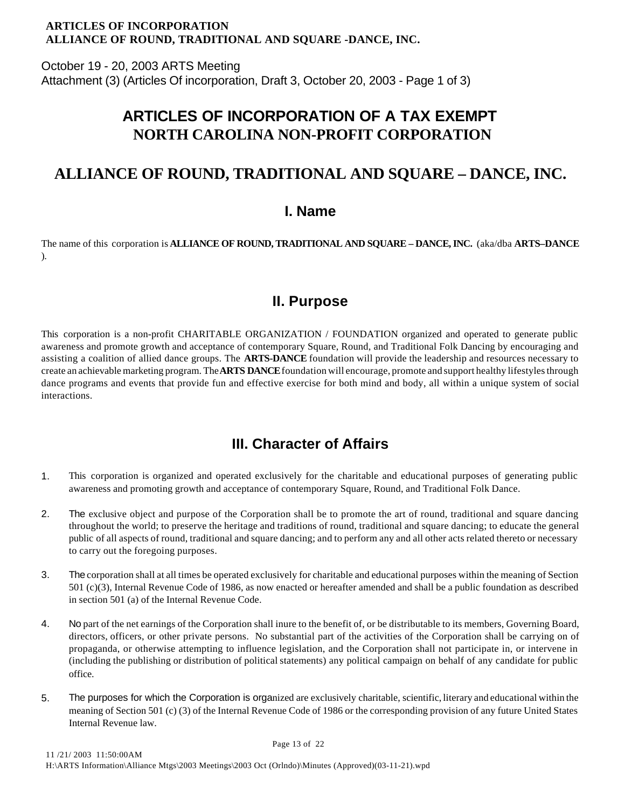# **ARTICLES OF INCORPORATION ALLIANCE OF ROUND, TRADITIONAL AND SQUARE -DANCE, INC.**

October 19 - 20, 2003 ARTS Meeting Attachment (3) (Articles Of incorporation, Draft 3, October 20, 2003 - Page 1 of 3)

# **ARTICLES OF INCORPORATION OF A TAX EXEMPT NORTH CAROLINA NON-PROFIT CORPORATION**

# **ALLIANCE OF ROUND, TRADITIONAL AND SQUARE – DANCE, INC.**

# **I. Name**

The name of this corporation is **ALLIANCE OF ROUND, TRADITIONAL AND SQUARE – DANCE, INC.** (aka/dba **ARTS–DANCE** ).

# **II. Purpose**

This corporation is a non-profit CHARITABLE ORGANIZATION / FOUNDATION organized and operated to generate public awareness and promote growth and acceptance of contemporary Square, Round, and Traditional Folk Dancing by encouraging and assisting a coalition of allied dance groups. The **ARTS-DANCE** foundation will provide the leadership and resources necessary to create an achievable marketing program. The **ARTS DANCE** foundation will encourage, promote and support healthy lifestyles through dance programs and events that provide fun and effective exercise for both mind and body, all within a unique system of social interactions.

# **III. Character of Affairs**

- 1. This corporation is organized and operated exclusively for the charitable and educational purposes of generating public awareness and promoting growth and acceptance of contemporary Square, Round, and Traditional Folk Dance.
- 2. The exclusive object and purpose of the Corporation shall be to promote the art of round, traditional and square dancing throughout the world; to preserve the heritage and traditions of round, traditional and square dancing; to educate the general public of all aspects of round, traditional and square dancing; and to perform any and all other acts related thereto or necessary to carry out the foregoing purposes.
- 3. The corporation shall at all times be operated exclusively for charitable and educational purposes within the meaning of Section 501 (c)(3), Internal Revenue Code of 1986, as now enacted or hereafter amended and shall be a public foundation as described in section 501 (a) of the Internal Revenue Code.
- 4. No part of the net earnings of the Corporation shall inure to the benefit of, or be distributable to its members, Governing Board, directors, officers, or other private persons. No substantial part of the activities of the Corporation shall be carrying on of propaganda, or otherwise attempting to influence legislation, and the Corporation shall not participate in, or intervene in (including the publishing or distribution of political statements) any political campaign on behalf of any candidate for public office.
- 5. The purposes for which the Corporation is organized are exclusively charitable, scientific, literary and educational within the meaning of Section 501 (c) (3) of the Internal Revenue Code of 1986 or the corresponding provision of any future United States Internal Revenue law.

Page 13 of 22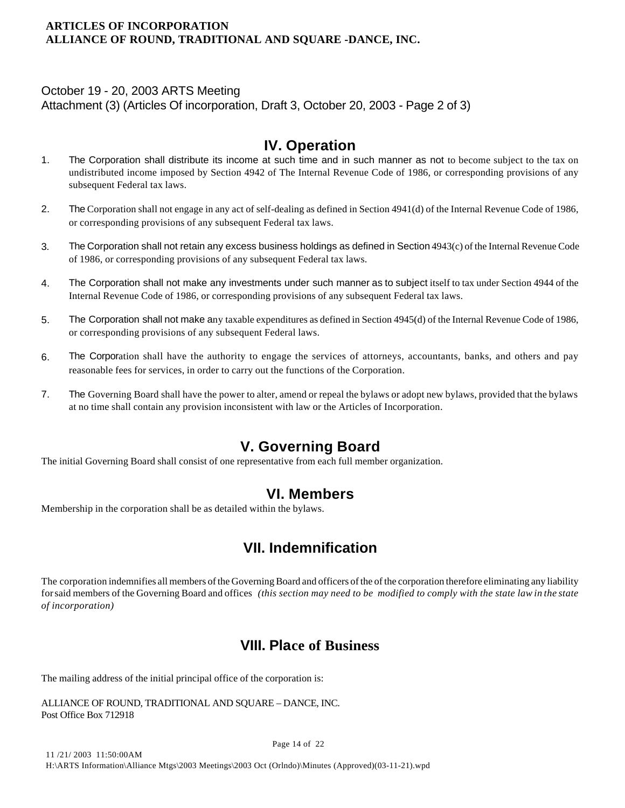# **ARTICLES OF INCORPORATION ALLIANCE OF ROUND, TRADITIONAL AND SQUARE -DANCE, INC.**

# October 19 - 20, 2003 ARTS Meeting

Attachment (3) (Articles Of incorporation, Draft 3, October 20, 2003 - Page 2 of 3)

# **IV. Operation**

- 1. The Corporation shall distribute its income at such time and in such manner as not to become subject to the tax on undistributed income imposed by Section 4942 of The Internal Revenue Code of 1986, or corresponding provisions of any subsequent Federal tax laws.
- 2. The Corporation shall not engage in any act of self-dealing as defined in Section 4941(d) of the Internal Revenue Code of 1986, or corresponding provisions of any subsequent Federal tax laws.
- 3. The Corporation shall not retain any excess business holdings as defined in Section 4943(c) of the Internal Revenue Code of 1986, or corresponding provisions of any subsequent Federal tax laws.
- 4. The Corporation shall not make any investments under such manner as to subject itself to tax under Section 4944 of the Internal Revenue Code of 1986, or corresponding provisions of any subsequent Federal tax laws.
- 5. The Corporation shall not make any taxable expenditures as defined in Section 4945(d) of the Internal Revenue Code of 1986, or corresponding provisions of any subsequent Federal laws.
- 6. The Corporation shall have the authority to engage the services of attorneys, accountants, banks, and others and pay reasonable fees for services, in order to carry out the functions of the Corporation.
- 7. The Governing Board shall have the power to alter, amend or repeal the bylaws or adopt new bylaws, provided that the bylaws at no time shall contain any provision inconsistent with law or the Articles of Incorporation.

# **V. Governing Board**

The initial Governing Board shall consist of one representative from each full member organization.

# **VI. Members**

Membership in the corporation shall be as detailed within the bylaws.

# **VII. Indemnification**

The corporation indemnifies all members of the Governing Board and officers of the of the corporation therefore eliminating any liability for said members of the Governing Board and offices *(this section may need to be modified to comply with the state law in the state of incorporation)*

# **VIII. Place of Business**

The mailing address of the initial principal office of the corporation is:

```
ALLIANCE OF ROUND, TRADITIONAL AND SQUARE – DANCE, INC.
Post Office Box 712918
```
Page 14 of 22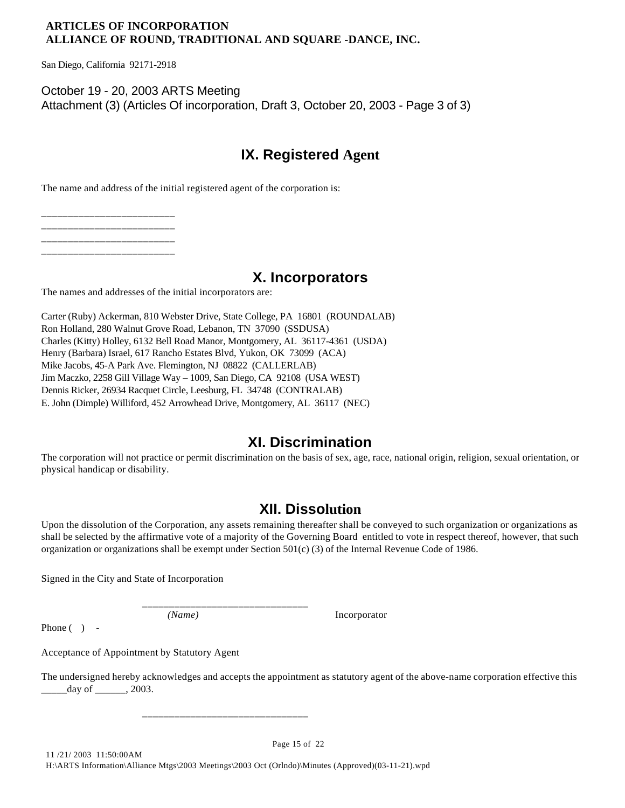# **ARTICLES OF INCORPORATION ALLIANCE OF ROUND, TRADITIONAL AND SQUARE -DANCE, INC.**

San Diego, California 92171-2918

October 19 - 20, 2003 ARTS Meeting Attachment (3) (Articles Of incorporation, Draft 3, October 20, 2003 - Page 3 of 3)

# **IX. Registered Agent**

The name and address of the initial registered agent of the corporation is:

\_\_\_\_\_\_\_\_\_\_\_\_\_\_\_\_\_\_\_\_\_\_\_\_\_ \_\_\_\_\_\_\_\_\_\_\_\_\_\_\_\_\_\_\_\_\_\_\_\_\_ \_\_\_\_\_\_\_\_\_\_\_\_\_\_\_\_\_\_\_\_\_\_\_\_\_ \_\_\_\_\_\_\_\_\_\_\_\_\_\_\_\_\_\_\_\_\_\_\_\_\_

# **X. Incorporators**

The names and addresses of the initial incorporators are:

Carter (Ruby) Ackerman, 810 Webster Drive, State College, PA 16801 (ROUNDALAB) Ron Holland, 280 Walnut Grove Road, Lebanon, TN 37090 (SSDUSA) Charles (Kitty) Holley, 6132 Bell Road Manor, Montgomery, AL 36117-4361 (USDA) Henry (Barbara) Israel, 617 Rancho Estates Blvd, Yukon, OK 73099 (ACA) Mike Jacobs, 45-A Park Ave. Flemington, NJ 08822 (CALLERLAB) Jim Maczko, 2258 Gill Village Way – 1009, San Diego, CA 92108 (USA WEST) Dennis Ricker, 26934 Racquet Circle, Leesburg, FL 34748 (CONTRALAB) E. John (Dimple) Williford, 452 Arrowhead Drive, Montgomery, AL 36117 (NEC)

# **XI. Discrimination**

The corporation will not practice or permit discrimination on the basis of sex, age, race, national origin, religion, sexual orientation, or physical handicap or disability.

# **XII. Dissolution**

Upon the dissolution of the Corporation, any assets remaining thereafter shall be conveyed to such organization or organizations as shall be selected by the affirmative vote of a majority of the Governing Board entitled to vote in respect thereof, however, that such organization or organizations shall be exempt under Section 501(c) (3) of the Internal Revenue Code of 1986.

Signed in the City and State of Incorporation

*(Name)* Incorporator

Phone  $( )$  -

Acceptance of Appointment by Statutory Agent

The undersigned hereby acknowledges and accepts the appointment as statutory agent of the above-name corporation effective this  $\frac{day}{}$  of  $\qquad$ , 2003.

Page 15 of 22

\_\_\_\_\_\_\_\_\_\_\_\_\_\_\_\_\_\_\_\_\_\_\_\_\_\_\_\_\_\_\_

\_\_\_\_\_\_\_\_\_\_\_\_\_\_\_\_\_\_\_\_\_\_\_\_\_\_\_\_\_\_\_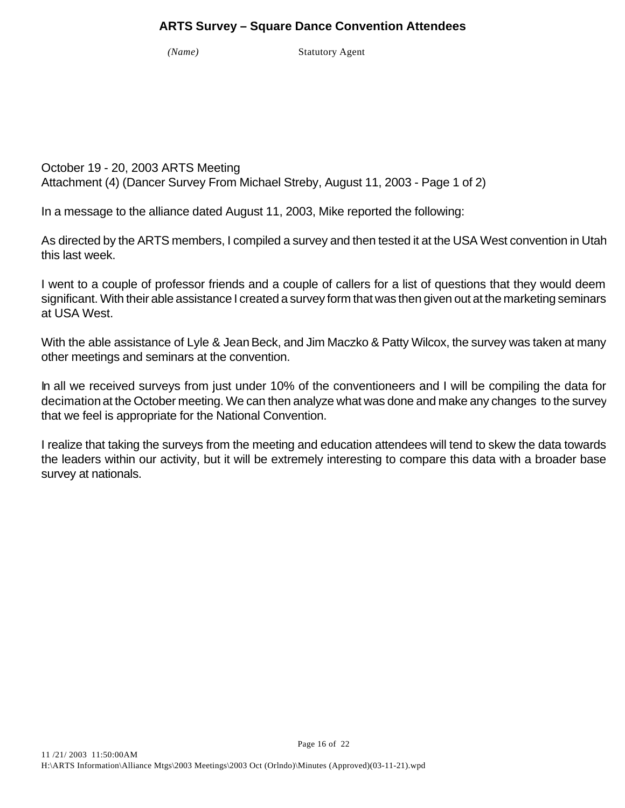# **ARTS Survey – Square Dance Convention Attendees**

*(Name)* Statutory Agent

October 19 - 20, 2003 ARTS Meeting Attachment (4) (Dancer Survey From Michael Streby, August 11, 2003 - Page 1 of 2)

In a message to the alliance dated August 11, 2003, Mike reported the following:

As directed by the ARTS members, I compiled a survey and then tested it at the USA West convention in Utah this last week.

I went to a couple of professor friends and a couple of callers for a list of questions that they would deem significant. With their able assistance I created a survey form that was then given out at the marketing seminars at USA West.

With the able assistance of Lyle & Jean Beck, and Jim Maczko & Patty Wilcox, the survey was taken at many other meetings and seminars at the convention.

In all we received surveys from just under 10% of the conventioneers and I will be compiling the data for decimation at the October meeting. We can then analyze what was done and make any changes to the survey that we feel is appropriate for the National Convention.

I realize that taking the surveys from the meeting and education attendees will tend to skew the data towards the leaders within our activity, but it will be extremely interesting to compare this data with a broader base survey at nationals.

Page 16 of 22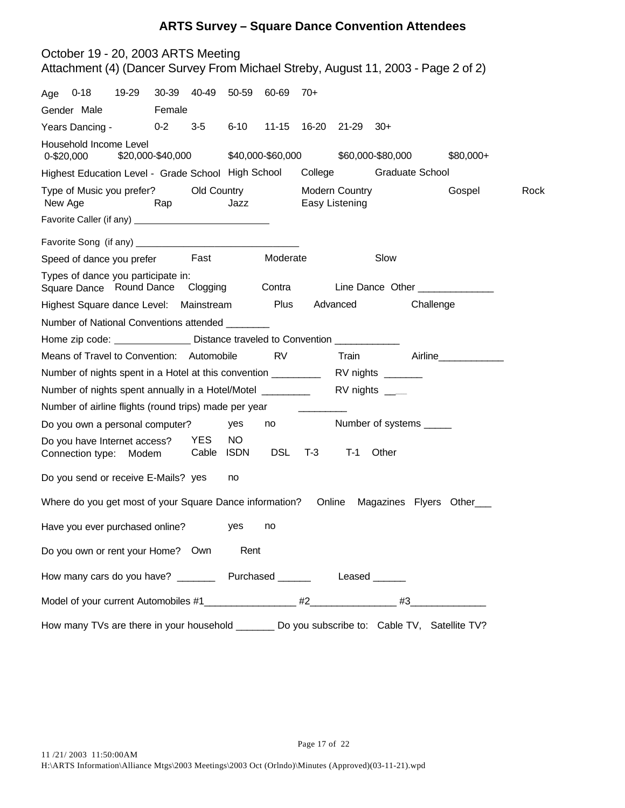# **ARTS Survey – Square Dance Convention Attendees**

| October 19 - 20, 2003 ARTS Meeting<br>Attachment (4) (Dancer Survey From Michael Streby, August 11, 2003 - Page 2 of 2) |       |                   |                         |                    |                   |       |                                         |                   |                        |                                 |      |
|-------------------------------------------------------------------------------------------------------------------------|-------|-------------------|-------------------------|--------------------|-------------------|-------|-----------------------------------------|-------------------|------------------------|---------------------------------|------|
| Age 0-18                                                                                                                | 19-29 |                   | 30-39 40-49 50-59 60-69 |                    |                   | $70+$ |                                         |                   |                        |                                 |      |
| Gender Male                                                                                                             |       | Female            |                         |                    |                   |       |                                         |                   |                        |                                 |      |
| Years Dancing -                                                                                                         |       | $0 - 2$           | $3-5$                   | $6 - 10$           |                   |       | 11-15 16-20 21-29 30+                   |                   |                        |                                 |      |
| Household Income Level<br>0-\$20,000                                                                                    |       | \$20,000-\$40,000 |                         |                    | \$40,000-\$60,000 |       |                                         | \$60,000-\$80,000 |                        | \$80,000+                       |      |
| Highest Education Level - Grade School High School                                                                      |       |                   |                         |                    |                   |       | College                                 |                   | <b>Graduate School</b> |                                 |      |
| Type of Music you prefer?<br>New Age                                                                                    |       | Rap               | Old Country             | Jazz               |                   |       | <b>Modern Country</b><br>Easy Listening |                   |                        | Gospel                          | Rock |
|                                                                                                                         |       |                   |                         |                    |                   |       |                                         |                   |                        |                                 |      |
|                                                                                                                         |       |                   |                         |                    |                   |       |                                         |                   |                        |                                 |      |
| Speed of dance you prefer Fast                                                                                          |       |                   |                         |                    | Moderate          |       |                                         | Slow              |                        |                                 |      |
| Types of dance you participate in:<br>Square Dance Round Dance Clogging                                                 |       |                   |                         |                    | Contra            |       |                                         |                   |                        | Line Dance Other ______________ |      |
| Highest Square dance Level: Mainstream                                                                                  |       |                   |                         |                    | Plus              |       | Advanced                                |                   | Challenge              |                                 |      |
| Number of National Conventions attended ________                                                                        |       |                   |                         |                    |                   |       |                                         |                   |                        |                                 |      |
| Home zip code: __________________ Distance traveled to Convention ______________                                        |       |                   |                         |                    |                   |       |                                         |                   |                        |                                 |      |
| Means of Travel to Convention: Automobile                                                                               |       |                   |                         |                    | <b>RV</b>         |       | Train                                   |                   |                        | Airline_____________            |      |
| Number of nights spent in a Hotel at this convention _________                                                          |       |                   |                         |                    |                   |       | RV nights ________                      |                   |                        |                                 |      |
| Number of nights spent annually in a Hotel/Motel _________                                                              |       |                   |                         |                    |                   |       | $RV$ nights $\rule{1em}{0.15mm}$        |                   |                        |                                 |      |
| Number of airline flights (round trips) made per year                                                                   |       |                   |                         |                    |                   |       |                                         |                   |                        |                                 |      |
| Do you own a personal computer?                                                                                         |       |                   |                         | yes                | no                |       | Number of systems ______                |                   |                        |                                 |      |
| Do you have Internet access?<br>Connection type:                                                                        | Modem |                   | YES<br>Cable            | NO.<br><b>ISDN</b> | <b>DSL</b>        | T-3   | $T-1$                                   | Other             |                        |                                 |      |
| Do you send or receive E-Mails? yes                                                                                     |       |                   |                         | no                 |                   |       |                                         |                   |                        |                                 |      |
| Where do you get most of your Square Dance information?  Online  Magazines  Flyers  Other                               |       |                   |                         |                    |                   |       |                                         |                   |                        |                                 |      |
| Have you ever purchased online?                                                                                         |       |                   |                         | yes                | no                |       |                                         |                   |                        |                                 |      |
| Do you own or rent your Home? Own                                                                                       |       |                   |                         | Rent               |                   |       |                                         |                   |                        |                                 |      |
| How many cars do you have? ______                                                                                       |       |                   |                         |                    |                   |       | Purchased ________ Leased ______        |                   |                        |                                 |      |
| Model of your current Automobiles #1                                                                                    |       |                   |                         |                    |                   |       |                                         | #3                |                        |                                 |      |
| How many TVs are there in your household __________ Do you subscribe to: Cable TV, Satellite TV?                        |       |                   |                         |                    |                   |       |                                         |                   |                        |                                 |      |

Page 17 of 22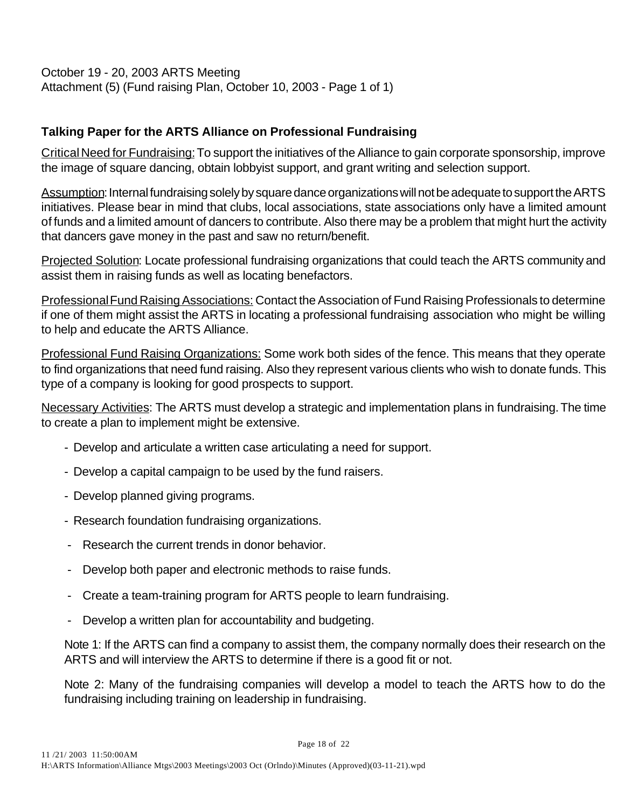October 19 - 20, 2003 ARTS Meeting Attachment (5) (Fund raising Plan, October 10, 2003 - Page 1 of 1)

# **Talking Paper for the ARTS Alliance on Professional Fundraising**

Critical Need for Fundraising: To support the initiatives of the Alliance to gain corporate sponsorship, improve the image of square dancing, obtain lobbyist support, and grant writing and selection support.

Assumption: Internal fundraising solely by square dance organizations will not be adequate to support the ARTS initiatives. Please bear in mind that clubs, local associations, state associations only have a limited amount of funds and a limited amount of dancers to contribute. Also there may be a problem that might hurt the activity that dancers gave money in the past and saw no return/benefit.

Projected Solution: Locate professional fundraising organizations that could teach the ARTS community and assist them in raising funds as well as locating benefactors.

Professional Fund Raising Associations: Contact the Association of Fund Raising Professionals to determine if one of them might assist the ARTS in locating a professional fundraising association who might be willing to help and educate the ARTS Alliance.

Professional Fund Raising Organizations: Some work both sides of the fence. This means that they operate to find organizations that need fund raising. Also they represent various clients who wish to donate funds. This type of a company is looking for good prospects to support.

Necessary Activities: The ARTS must develop a strategic and implementation plans in fundraising. The time to create a plan to implement might be extensive.

- Develop and articulate a written case articulating a need for support.
- Develop a capital campaign to be used by the fund raisers.
- Develop planned giving programs.
- Research foundation fundraising organizations.
- Research the current trends in donor behavior.
- Develop both paper and electronic methods to raise funds.
- Create a team-training program for ARTS people to learn fundraising.
- Develop a written plan for accountability and budgeting.

Note 1: If the ARTS can find a company to assist them, the company normally does their research on the ARTS and will interview the ARTS to determine if there is a good fit or not.

Note 2: Many of the fundraising companies will develop a model to teach the ARTS how to do the fundraising including training on leadership in fundraising.

Page 18 of 22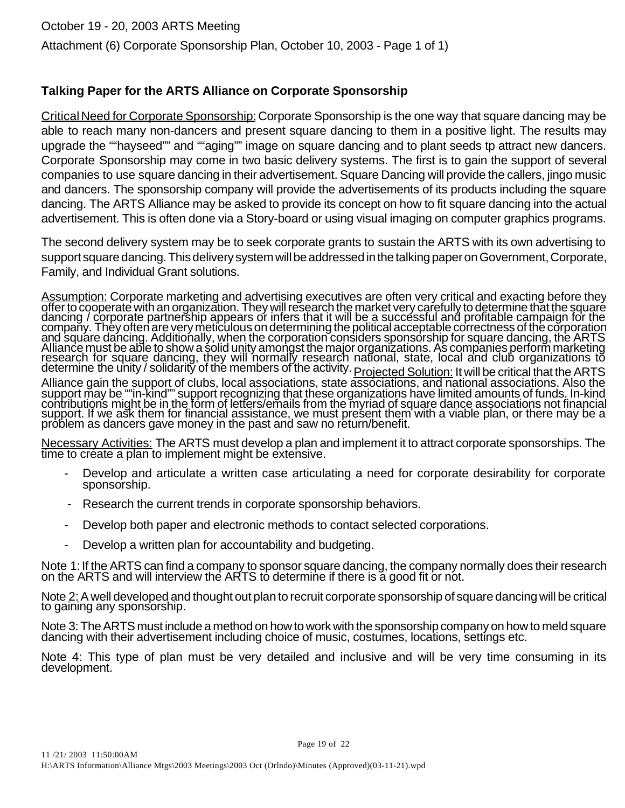# **Talking Paper for the ARTS Alliance on Corporate Sponsorship**

Critical Need for Corporate Sponsorship: Corporate Sponsorship is the one way that square dancing may be able to reach many non-dancers and present square dancing to them in a positive light. The results may upgrade the ""hayseed"" and ""aging"" image on square dancing and to plant seeds tp attract new dancers. Corporate Sponsorship may come in two basic delivery systems. The first is to gain the support of several companies to use square dancing in their advertisement. Square Dancing will provide the callers, jingo music and dancers. The sponsorship company will provide the advertisements of its products including the square dancing. The ARTS Alliance may be asked to provide its concept on how to fit square dancing into the actual advertisement. This is often done via a Story-board or using visual imaging on computer graphics programs.

The second delivery system may be to seek corporate grants to sustain the ARTS with its own advertising to support square dancing. This delivery system will be addressed in the talking paper on Government, Corporate, Family, and Individual Grant solutions.

Assumption: Corporate marketing and advertising executives are often very critical and exacting before they offer to cooperate with an organization. They will research the market very carefully to determine that the square dancing / corporate partnership appears or infers that it will be a successful and profitable campaign for the company. They often are very meticulous on determining the political acceptable correctness of the corporation and square dancing. Additionally, when the corporation considers sponsorship for square dancing, the ARTS Alliance must be able to show a solid unity amongst the major organizations. As companies perform marketing research for square dancing, they will normally research national, state, local and club organizations to determine the unity / solidarity of the members of the activity. Projected Solution: It will be critical that the ARTS

Alliance gain the support of clubs, local associations, state associations, and national associations. Also the support may be ""in-kind"" support recognizing that these organizations have limited amounts of funds. In-kind contributions might be in the form of letters/emails from the myriad of square dance associations not financial support. If we ask them for financial assistance, we must present them with a viable plan, or there may be a problem as dancers gave money in the past and saw no return/benefit.

Necessary Activities: The ARTS must develop a plan and implement it to attract corporate sponsorships. The time to create a plan to implement might be extensive.

- Develop and articulate a written case articulating a need for corporate desirability for corporate sponsorship.
- Research the current trends in corporate sponsorship behaviors.
- Develop both paper and electronic methods to contact selected corporations.
- Develop a written plan for accountability and budgeting.

Note 1: If the ARTS can find a company to sponsor square dancing, the company normally does their research on the ARTS and will interview the ARTS to determine if there is a good fit or not.

Note 2: A well developed and thought out plan to recruit corporate sponsorship of square dancing will be critical to gaining any sponsorship.

Note 3: The ARTS must include a method on how to work with the sponsorship company on how to meld square dancing with their advertisement including choice of music, costumes, locations, settings etc.

Note 4: This type of plan must be very detailed and inclusive and will be very time consuming in its development.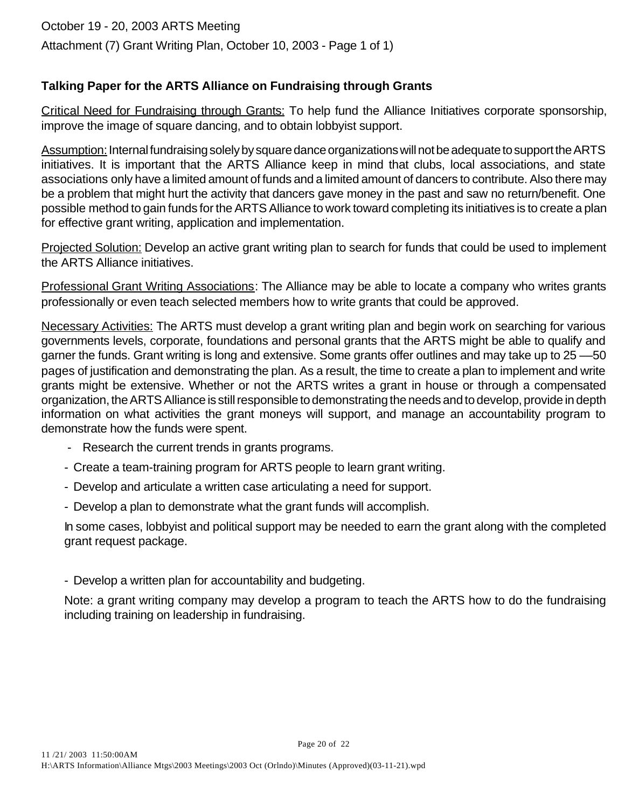# **Talking Paper for the ARTS Alliance on Fundraising through Grants**

Critical Need for Fundraising through Grants: To help fund the Alliance Initiatives corporate sponsorship, improve the image of square dancing, and to obtain lobbyist support.

Assumption: Internal fundraising solely by square dance organizations will not be adequate to support the ARTS initiatives. It is important that the ARTS Alliance keep in mind that clubs, local associations, and state associations only have a limited amount of funds and a limited amount of dancers to contribute. Also there may be a problem that might hurt the activity that dancers gave money in the past and saw no return/benefit. One possible method to gain funds for the ARTS Alliance to work toward completing its initiatives is to create a plan for effective grant writing, application and implementation.

Projected Solution: Develop an active grant writing plan to search for funds that could be used to implement the ARTS Alliance initiatives.

Professional Grant Writing Associations: The Alliance may be able to locate a company who writes grants professionally or even teach selected members how to write grants that could be approved.

Necessary Activities: The ARTS must develop a grant writing plan and begin work on searching for various governments levels, corporate, foundations and personal grants that the ARTS might be able to qualify and garner the funds. Grant writing is long and extensive. Some grants offer outlines and may take up to 25 ––50 pages of justification and demonstrating the plan. As a result, the time to create a plan to implement and write grants might be extensive. Whether or not the ARTS writes a grant in house or through a compensated organization, the ARTS Alliance is still responsible to demonstrating the needs and to develop, provide in depth information on what activities the grant moneys will support, and manage an accountability program to demonstrate how the funds were spent.

- Research the current trends in grants programs.
- Create a team-training program for ARTS people to learn grant writing.
- Develop and articulate a written case articulating a need for support.
- Develop a plan to demonstrate what the grant funds will accomplish.

In some cases, lobbyist and political support may be needed to earn the grant along with the completed grant request package.

- Develop a written plan for accountability and budgeting.

Note: a grant writing company may develop a program to teach the ARTS how to do the fundraising including training on leadership in fundraising.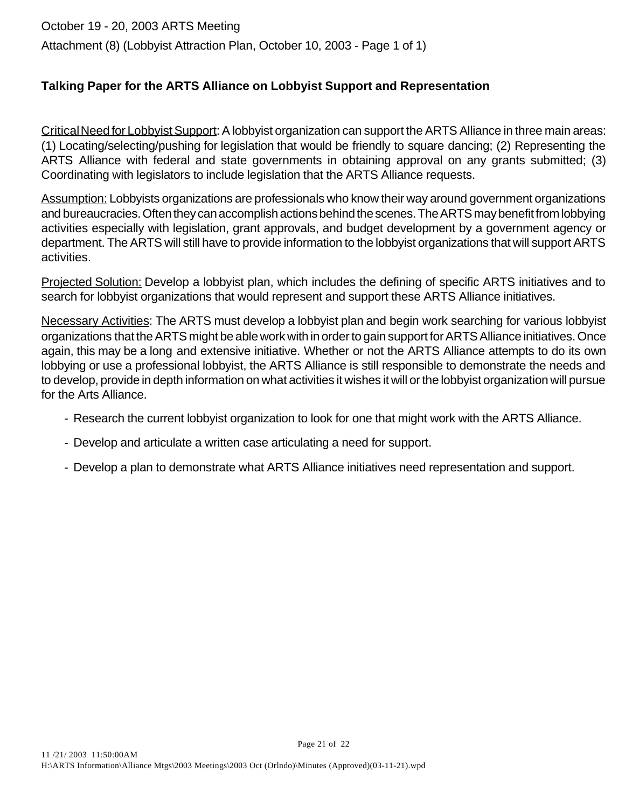# October 19 - 20, 2003 ARTS Meeting Attachment (8) (Lobbyist Attraction Plan, October 10, 2003 - Page 1 of 1)

# **Talking Paper for the ARTS Alliance on Lobbyist Support and Representation**

Critical Need for Lobbyist Support: A lobbyist organization can support the ARTS Alliance in three main areas: (1) Locating/selecting/pushing for legislation that would be friendly to square dancing; (2) Representing the ARTS Alliance with federal and state governments in obtaining approval on any grants submitted; (3) Coordinating with legislators to include legislation that the ARTS Alliance requests.

Assumption: Lobbyists organizations are professionals who know their way around government organizations and bureaucracies. Often they can accomplish actions behind the scenes. The ARTS may benefit from lobbying activities especially with legislation, grant approvals, and budget development by a government agency or department. The ARTS will still have to provide information to the lobbyist organizations that will support ARTS activities.

Projected Solution: Develop a lobbyist plan, which includes the defining of specific ARTS initiatives and to search for lobbyist organizations that would represent and support these ARTS Alliance initiatives.

Necessary Activities: The ARTS must develop a lobbyist plan and begin work searching for various lobbyist organizations that the ARTS might be able work with in order to gain support for ARTS Alliance initiatives. Once again, this may be a long and extensive initiative. Whether or not the ARTS Alliance attempts to do its own lobbying or use a professional lobbyist, the ARTS Alliance is still responsible to demonstrate the needs and to develop, provide in depth information on what activities it wishes it will or the lobbyist organization will pursue for the Arts Alliance.

- Research the current lobbyist organization to look for one that might work with the ARTS Alliance.
- Develop and articulate a written case articulating a need for support.
- Develop a plan to demonstrate what ARTS Alliance initiatives need representation and support.

Page 21 of 22